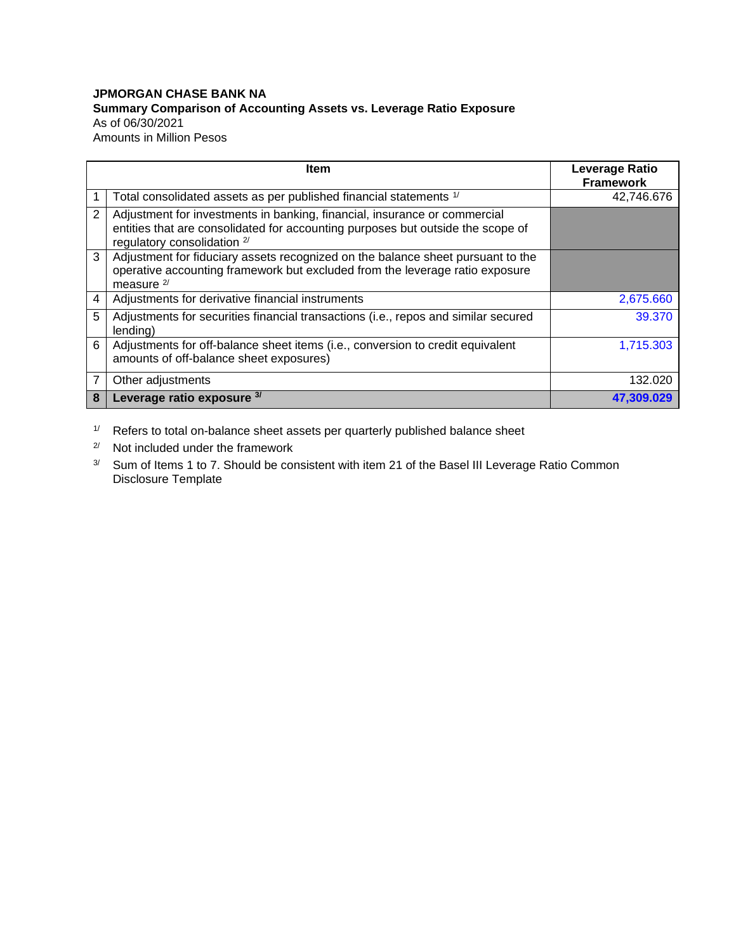## **JPMORGAN CHASE BANK NA Summary Comparison of Accounting Assets vs. Leverage Ratio Exposure** As of 06/30/2021 Amounts in Million Pesos

|                | Item                                                                                                                                                                                          | Leverage Ratio<br><b>Framework</b> |
|----------------|-----------------------------------------------------------------------------------------------------------------------------------------------------------------------------------------------|------------------------------------|
|                | Total consolidated assets as per published financial statements 1/                                                                                                                            | 42,746.676                         |
| $\overline{2}$ | Adjustment for investments in banking, financial, insurance or commercial<br>entities that are consolidated for accounting purposes but outside the scope of<br>regulatory consolidation $2/$ |                                    |
| 3              | Adjustment for fiduciary assets recognized on the balance sheet pursuant to the<br>operative accounting framework but excluded from the leverage ratio exposure<br>measure $2/$               |                                    |
| 4              | Adjustments for derivative financial instruments                                                                                                                                              | 2,675.660                          |
| 5              | Adjustments for securities financial transactions (i.e., repos and similar secured<br>lending)                                                                                                | 39.370                             |
| 6              | Adjustments for off-balance sheet items (i.e., conversion to credit equivalent<br>amounts of off-balance sheet exposures)                                                                     | 1,715.303                          |
| 7              | Other adjustments                                                                                                                                                                             | 132.020                            |
| 8              | Leverage ratio exposure 3/                                                                                                                                                                    | 47.309.029                         |

 $1/$  Refers to total on-balance sheet assets per quarterly published balance sheet

2/ Not included under the framework

3/ Sum of Items 1 to 7. Should be consistent with item 21 of the Basel III Leverage Ratio Common Disclosure Template